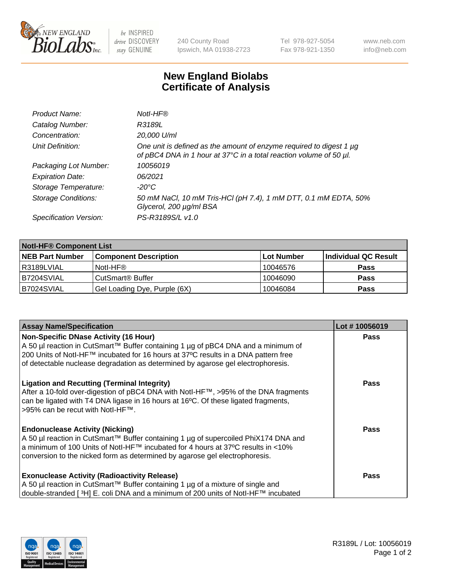

 $be$  INSPIRED drive DISCOVERY stay GENUINE

240 County Road Ipswich, MA 01938-2723 Tel 978-927-5054 Fax 978-921-1350 www.neb.com info@neb.com

## **New England Biolabs Certificate of Analysis**

| Product Name:              | Notl-HF®                                                                                                                                  |
|----------------------------|-------------------------------------------------------------------------------------------------------------------------------------------|
| Catalog Number:            | R3189L                                                                                                                                    |
| Concentration:             | 20,000 U/ml                                                                                                                               |
| Unit Definition:           | One unit is defined as the amount of enzyme required to digest 1 µg<br>of pBC4 DNA in 1 hour at 37°C in a total reaction volume of 50 µl. |
| Packaging Lot Number:      | 10056019                                                                                                                                  |
| <b>Expiration Date:</b>    | 06/2021                                                                                                                                   |
| Storage Temperature:       | -20°C                                                                                                                                     |
| <b>Storage Conditions:</b> | 50 mM NaCl, 10 mM Tris-HCl (pH 7.4), 1 mM DTT, 0.1 mM EDTA, 50%<br>Glycerol, 200 µg/ml BSA                                                |
| Specification Version:     | PS-R3189S/L v1.0                                                                                                                          |

| <b>Notl-HF® Component List</b> |                              |            |                      |  |  |
|--------------------------------|------------------------------|------------|----------------------|--|--|
| <b>NEB Part Number</b>         | <b>Component Description</b> | Lot Number | Individual QC Result |  |  |
| l R3189LVIAL                   | Notl-HF®                     | 10046576   | <b>Pass</b>          |  |  |
| B7204SVIAL                     | CutSmart <sup>®</sup> Buffer | 10046090   | <b>Pass</b>          |  |  |
| B7024SVIAL                     | Gel Loading Dye, Purple (6X) | 10046084   | <b>Pass</b>          |  |  |

| <b>Assay Name/Specification</b>                                                     | Lot #10056019 |
|-------------------------------------------------------------------------------------|---------------|
| <b>Non-Specific DNase Activity (16 Hour)</b>                                        | <b>Pass</b>   |
| A 50 µl reaction in CutSmart™ Buffer containing 1 µg of pBC4 DNA and a minimum of   |               |
| 200 Units of Notl-HF™ incubated for 16 hours at 37°C results in a DNA pattern free  |               |
| of detectable nuclease degradation as determined by agarose gel electrophoresis.    |               |
| <b>Ligation and Recutting (Terminal Integrity)</b>                                  | <b>Pass</b>   |
| After a 10-fold over-digestion of pBC4 DNA with Notl-HF™, >95% of the DNA fragments |               |
| can be ligated with T4 DNA ligase in 16 hours at 16°C. Of these ligated fragments,  |               |
| >95% can be recut with Notl-HF™.                                                    |               |
| <b>Endonuclease Activity (Nicking)</b>                                              | <b>Pass</b>   |
| A 50 µl reaction in CutSmart™ Buffer containing 1 µg of supercoiled PhiX174 DNA and |               |
| a minimum of 100 Units of Notl-HF™ incubated for 4 hours at 37°C results in <10%    |               |
| conversion to the nicked form as determined by agarose gel electrophoresis.         |               |
| <b>Exonuclease Activity (Radioactivity Release)</b>                                 | <b>Pass</b>   |
| A 50 µl reaction in CutSmart™ Buffer containing 1 µg of a mixture of single and     |               |
| double-stranded [3H] E. coli DNA and a minimum of 200 units of Notl-HF™ incubated   |               |